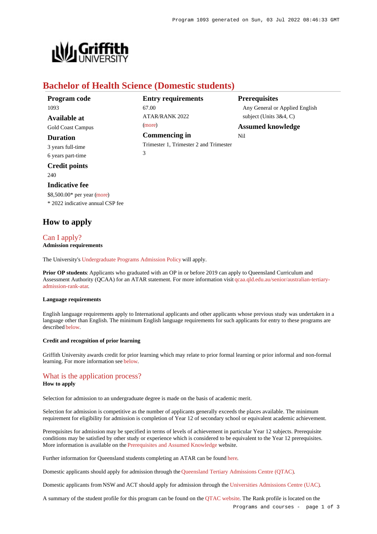

# **Bachelor of Health Science (Domestic students)**

| Program code             | <b>Entry requirements</b>              | <b>Prerequisites</b>           |
|--------------------------|----------------------------------------|--------------------------------|
| 1093                     | 67.00                                  | Any General or Applied English |
| Available at             | <b>ATAR/RANK 2022</b>                  | subject (Units $3&4, C$ )      |
| <b>Gold Coast Campus</b> | (more)                                 | <b>Assumed knowledge</b>       |
| <b>Duration</b>          | Commencing in                          | Nil                            |
| 3 years full-time        | Trimester 1, Trimester 2 and Trimester |                                |
| 6 years part-time        | 3                                      |                                |

**Credit points** 240

## **Indicative fee**

\$8,500.00\* per year [\(more](https://www148.griffith.edu.au/programs-courses/Program/1093/Overview/Domestic#fees)) \* 2022 indicative annual CSP fee

# **How to apply**

## [Can I apply?](https://www148.griffith.edu.au/programs-courses/Program/1093/HowToApply/Domestic#can-i-apply) **Admission requirements**

The University's [Undergraduate Programs Admission Policy](https://sharepointpubstor.blob.core.windows.net/policylibrary-prod/Undergraduate Programs Admission Policy.pdf) will apply.

**Prior OP students**: Applicants who graduated with an OP in or before 2019 can apply to Queensland Curriculum and Assessment Authority (QCAA) for an ATAR statement. For more information visit [qcaa.qld.edu.au/senior/australian-tertiary](http://qcaa.qld.edu.au/senior/australian-tertiary-admission-rank-atar)[admission-rank-atar](http://qcaa.qld.edu.au/senior/australian-tertiary-admission-rank-atar).

#### **Language requirements**

English language requirements apply to International applicants and other applicants whose previous study was undertaken in a language other than English. The minimum English language requirements for such applicants for entry to these programs are described [below](https://www148.griffith.edu.au/programs-courses/Program/1093/HowToApply/Domestic#language).

### **Credit and recognition of prior learning**

Griffith University awards credit for prior learning which may relate to prior formal learning or prior informal and non-formal learning. For more information see [below](https://www148.griffith.edu.au/programs-courses/Program/1093/HowToApply/Domestic#credit).

## [What is the application process?](https://www148.griffith.edu.au/programs-courses/Program/1093/HowToApply/Domestic#process)

#### **How to apply**

Selection for admission to an undergraduate degree is made on the basis of academic merit.

Selection for admission is competitive as the number of applicants generally exceeds the places available. The minimum requirement for eligibility for admission is completion of Year 12 of secondary school or equivalent academic achievement.

Prerequisites for admission may be specified in terms of levels of achievement in particular Year 12 subjects. Prerequisite conditions may be satisfied by other study or experience which is considered to be equivalent to the Year 12 prerequisites. More information is available on the [Prerequisites and Assumed Knowledge](https://www.griffith.edu.au/apply/prerequisites-assumed-knowledge) website.

Further information for Queensland students completing an ATAR can be found [here](https://www.griffith.edu.au/apply/undergraduate-study/high-school-students/admission-in-2021).

Domestic applicants should apply for admission through the [Queensland Tertiary Admissions Centre \(QTAC\)](http://www.qtac.edu.au/).

Domestic applicants from NSW and ACT should apply for admission through the [Universities Admissions Centre \(UAC\)](http://www.uac.edu.au/).

A summary of the student profile for this program can be found on the [QTAC website](https://www.qtac.edu.au/courses/listing/bachelor-of-health-science-233312/). The Rank profile is located on the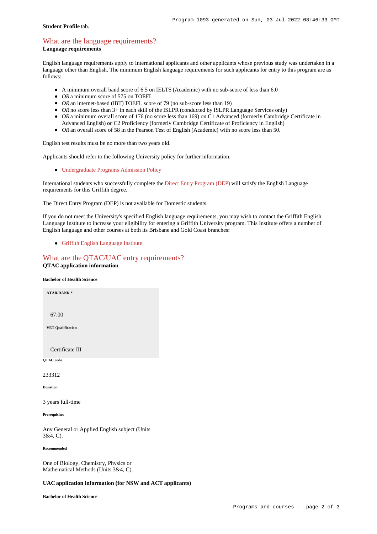#### **Student Profile** tab.

# [What are the language requirements?](https://www148.griffith.edu.au/programs-courses/Program/1093/HowToApply/Domestic#language)

**Language requirements**

English language requirements apply to International applicants and other applicants whose previous study was undertaken in a language other than English. The minimum English language requirements for such applicants for entry to this program are as follows:

- A minimum overall band score of 6.5 on IELTS (Academic) with no sub-score of less than 6.0
- OR a minimum score of 575 on TOEFL
- *OR* an internet-based (iBT) TOEFL score of 79 (no sub-score less than 19)
- OR no score less than 3+ in each skill of the ISLPR (conducted by ISLPR Language Services only)
- OR a minimum overall score of 176 (no score less than 169) on C1 Advanced (formerly Cambridge Certificate in
- Advanced English) **or** C2 Proficiency (formerly Cambridge Certificate of Proficiency in English)
- OR an overall score of 58 in the Pearson Test of English (Academic) with no score less than 50.

English test results must be no more than two years old.

Applicants should refer to the following University policy for further information:

[Undergraduate Programs Admission Policy](http://policies.griffith.edu.au/pdf/Undergraduate Programs Admission Policy.pdf)

International students who successfully complete the [Direct Entry Program \(DEP\)](https://www.griffith.edu.au/international/griffith-english-language-institute/courses/direct-entry-program) will satisfy the English Language requirements for this Griffith degree.

The Direct Entry Program (DEP) is not available for Domestic students.

If you do not meet the University's specified English language requirements, you may wish to contact the Griffith English Language Institute to increase your eligibility for entering a Griffith University program. This Institute offers a number of English language and other courses at both its Brisbane and Gold Coast branches:

[Griffith English Language Institute](https://www.griffith.edu.au/international/griffith-english-language-institute)

# [What are the QTAC/UAC entry requirements?](https://www148.griffith.edu.au/programs-courses/Program/1093/HowToApply/Domestic#tac-entry-requirements) **QTAC application information**

**Bachelor of Health Science**

**ATAR/RANK \*** 67.00

**VET Qualification**

Certificate III

**QTAC code**

233312

**Duration**

3 years full-time

**Prerequisites**

Any General or Applied English subject (Units 3&4, C).

**Recommended**

One of Biology, Chemistry, Physics or Mathematical Methods (Units 3&4, C).

## **UAC application information (for NSW and ACT applicants)**

**Bachelor of Health Science**